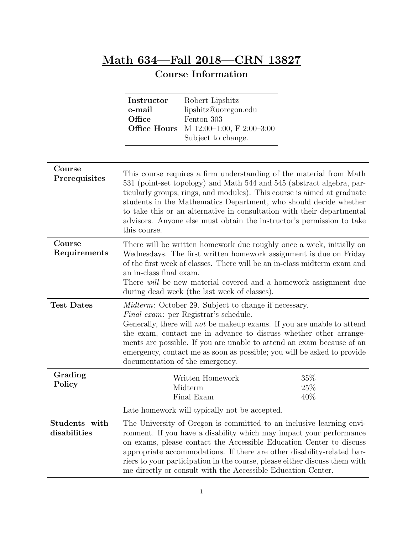## Math 634—Fall 2018—CRN 13827

## Course Information

|                               | Instructor<br>e-mail<br>Office<br><b>Office Hours</b>                                                                                                                                                                                                                                                                                                                                                                                                           | Robert Lipshitz<br>lipshitz@uoregon.edu<br>Fenton 303<br>M 12:00-1:00, F 2:00-3:00<br>Subject to change. |                      |
|-------------------------------|-----------------------------------------------------------------------------------------------------------------------------------------------------------------------------------------------------------------------------------------------------------------------------------------------------------------------------------------------------------------------------------------------------------------------------------------------------------------|----------------------------------------------------------------------------------------------------------|----------------------|
| Course<br>Prerequisites       | This course requires a firm understanding of the material from Math<br>531 (point-set topology) and Math 544 and 545 (abstract algebra, par-<br>ticularly groups, rings, and modules). This course is aimed at graduate<br>students in the Mathematics Department, who should decide whether<br>to take this or an alternative in consultation with their departmental<br>advisors. Anyone else must obtain the instructor's permission to take<br>this course. |                                                                                                          |                      |
| Course<br>Requirements        | There will be written homework due roughly once a week, initially on<br>Wednesdays. The first written homework assignment is due on Friday<br>of the first week of classes. There will be an in-class midterm exam and<br>an in-class final exam.<br>There <i>will</i> be new material covered and a homework assignment due<br>during dead week (the last week of classes).                                                                                    |                                                                                                          |                      |
| <b>Test Dates</b>             | <i>Midterm:</i> October 29. Subject to change if necessary.<br><i>Final exam:</i> per Registrar's schedule.<br>Generally, there will <i>not</i> be makeup exams. If you are unable to attend<br>the exam, contact me in advance to discuss whether other arrange-<br>ments are possible. If you are unable to attend an exam because of an<br>emergency, contact me as soon as possible; you will be asked to provide<br>documentation of the emergency.        |                                                                                                          |                      |
| Grading<br>Policy             |                                                                                                                                                                                                                                                                                                                                                                                                                                                                 | Written Homework<br>Midterm<br>Final Exam                                                                | $35\%$<br>25%<br>40% |
|                               |                                                                                                                                                                                                                                                                                                                                                                                                                                                                 | Late homework will typically not be accepted.                                                            |                      |
| Students with<br>disabilities | The University of Oregon is committed to an inclusive learning envi-<br>ronment. If you have a disability which may impact your performance<br>on exams, please contact the Accessible Education Center to discuss<br>appropriate accommodations. If there are other disability-related bar-<br>riers to your participation in the course, please either discuss them with<br>me directly or consult with the Accessible Education Center.                      |                                                                                                          |                      |